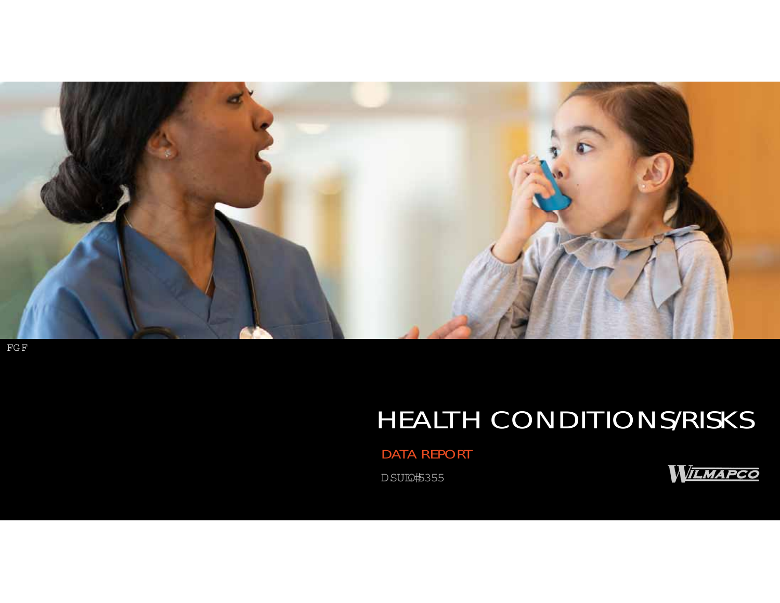

FGF

# HEALTH CONDITIONS/RISKS

DATA REPORT

DSUIQH5355

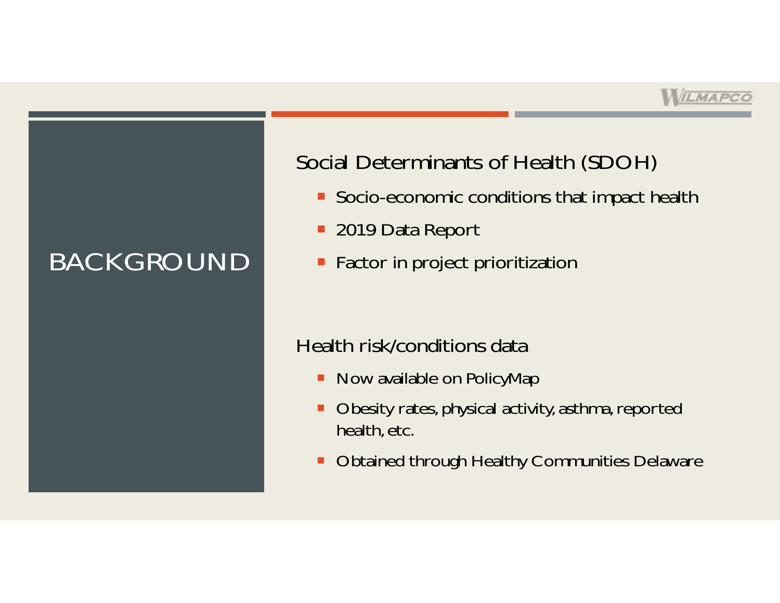## BACKGROUND

## Social Determinants of Health (SDOH)

- **Socio-economic conditions that impact health**
- 2019 Data Report
- **Factor in project prioritization**

### Health risk/conditions data

- Now available on PolicyMap
- п Obesity rates, physical activity, asthma, reported health, etc.
- п Obtained through Healthy Communities Delaware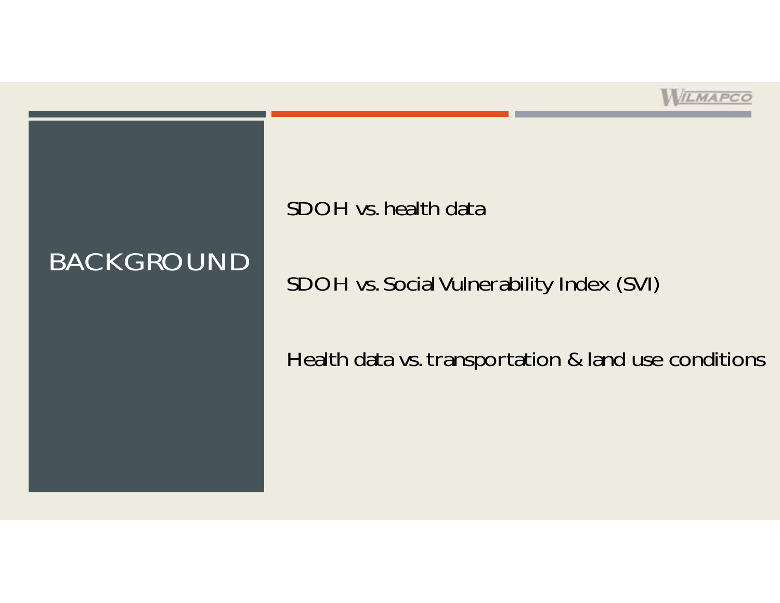

# BACKGROUND

SDOH vs. health data

SDOH vs. Social Vulnerability Index (SVI)

Health data vs. transportation & land use conditions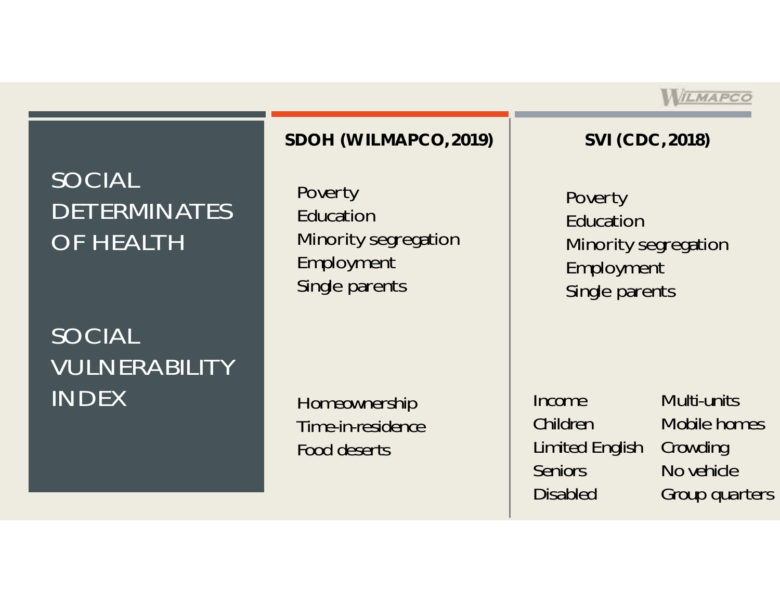## SOCIAL DETERMINATES OF HEALTH

## SOCIAL VULNERABILITY INDEX

### **SDOH (WILMAPCO, 2019) SVI (CDC, 2018)**

Poverty EducationMinority segregation Employment Single parents

*Homeownership Time-in-residenceFood deserts*

*IncomeChildrenLimited English SeniorsDisabled* 

*Multi-unitsMobile homesCrowding No vehicleGroup quarters*

WILMAPCO

Poverty EducationMinority segregation Employment Single parents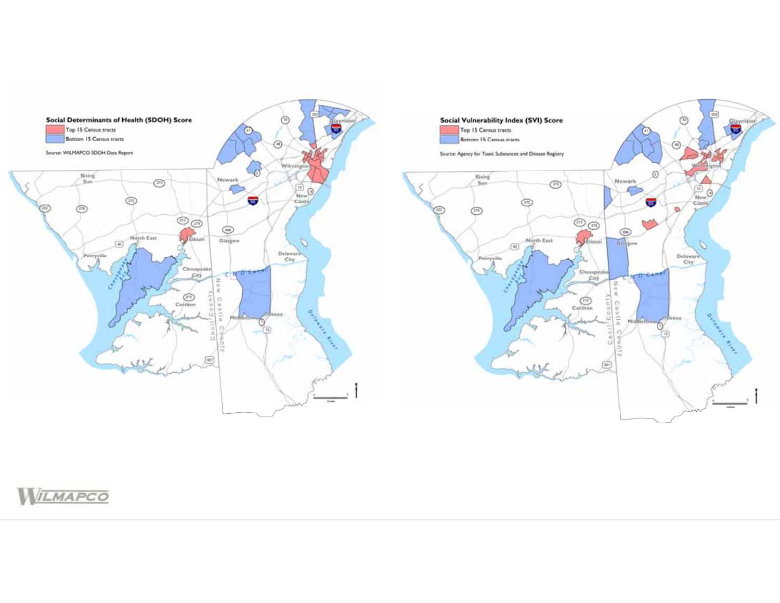



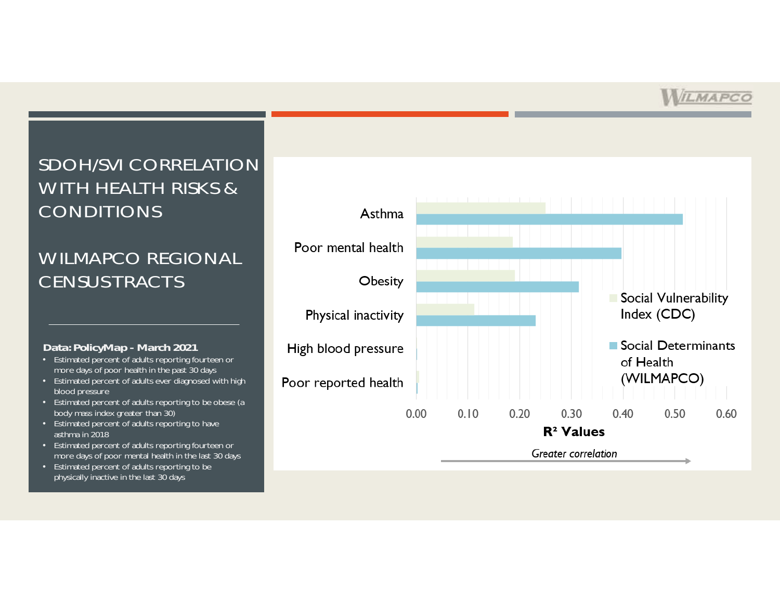### SDOH/SVI CORRELATION WITH HEALTH RISKS & CONDITIONS

### WILMAPCO REGIONAL CENSUS TRACTS

#### *Data: PolicyMap - March 2021*

- Estimated percent of adults reporting fourteen or more days of poor health in the past 30 days
- Estimated percent of adults ever diagnosed with high blood pressure
- Estimated percent of adults reporting to be obese (a body mass index greater than 30)
- Estimated percent of adults reporting to have asthma in 2018
- Estimated percent of adults reporting fourteen or more days of poor mental health in the last 30 days
- Estimated percent of adults reporting to be physically inactive in the last 30 days

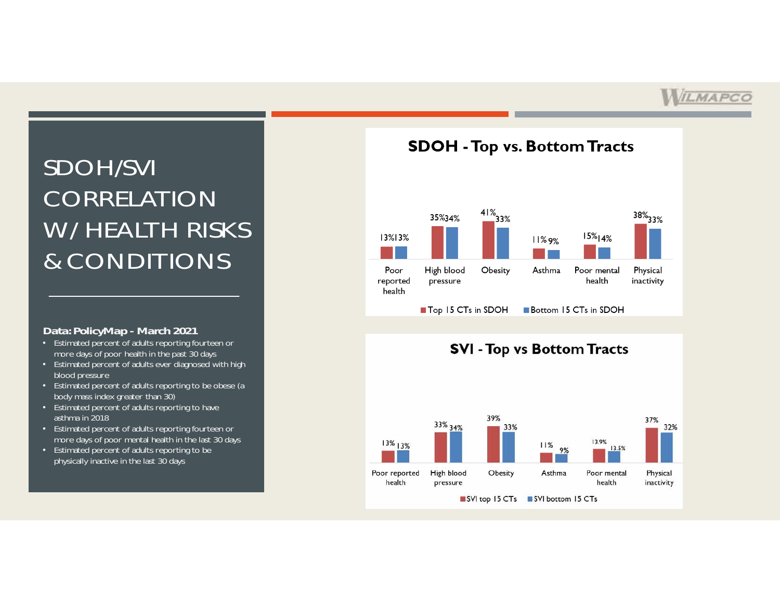## SDOH/SVI CORRELATION W/ HEALTH RISKS & CONDITIONS

#### *Data: PolicyMap - March 2021*

- Estimated percent of adults reporting fourteen or more days of poor health in the past 30 days
- Estimated percent of adults ever diagnosed with high blood pressure
- Estimated percent of adults reporting to be obese (a body mass index greater than 30)
- Estimated percent of adults reporting to have asthma in 2018
- Estimated percent of adults reporting fourteen or more days of poor mental health in the last 30 days
- Estimated percent of adults reporting to be physically inactive in the last 30 days



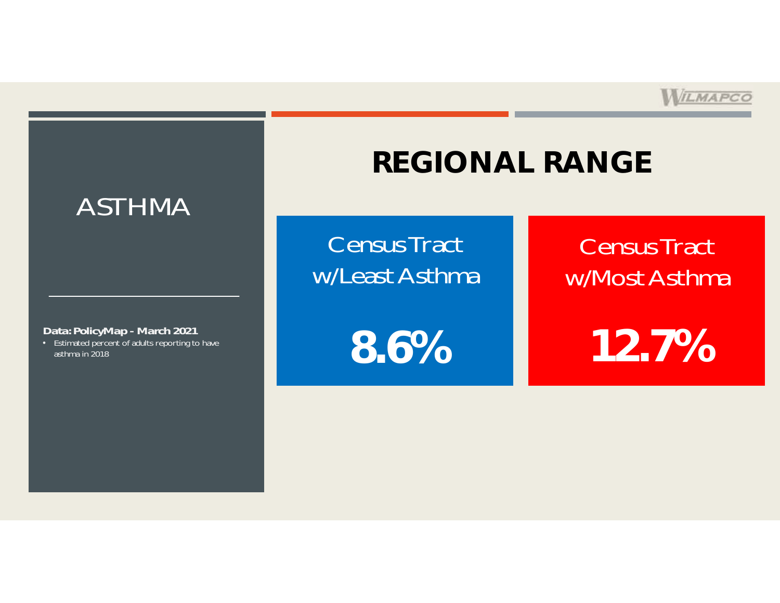

# **REGIONAL RANGE**

Census Tract w/Least Asthma

*Data: PolicyMap - March 2021*

• Estimated percent of adults reporting to have asthma in 2018

ASTHMA

**8.6%**

Census Tract w/Most Asthma

**12.7%**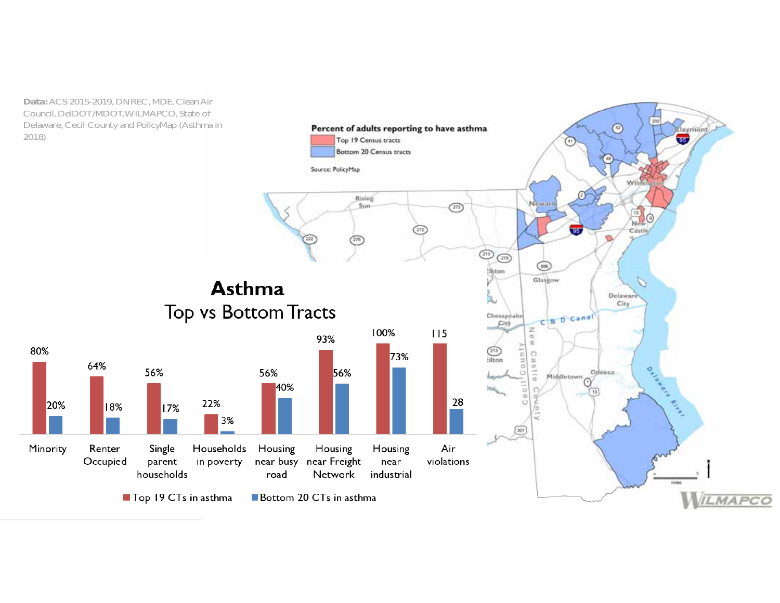*Data:* ACS 2015-2019, DNREC, MDE, Clean Air Council, DelDOT/MDOT, WILMAPCO, State of Delaware, Cecil County and PolicyMap (Asthma in 2018)

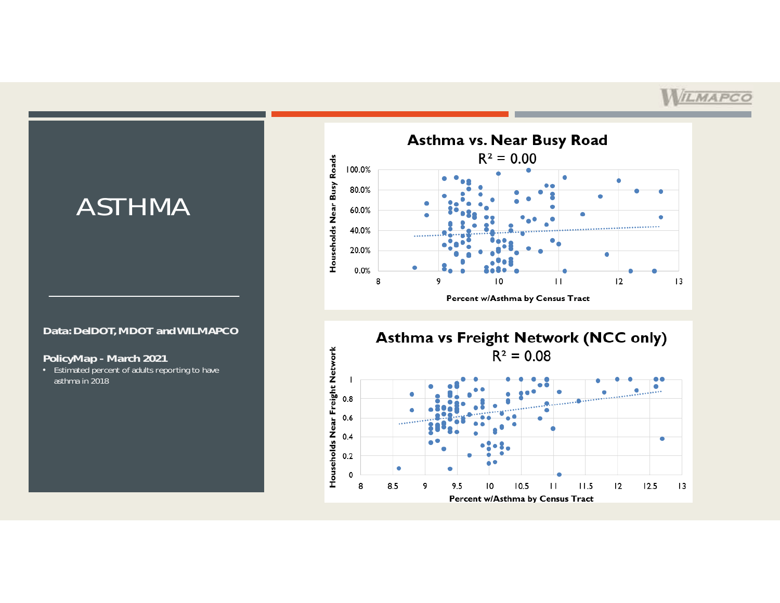## ASTHMA

#### *Data: DelDOT, MDOT and WILMAPCO*

#### *PolicyMap - March 2021*

• Estimated percent of adults reporting to have asthma in 2018



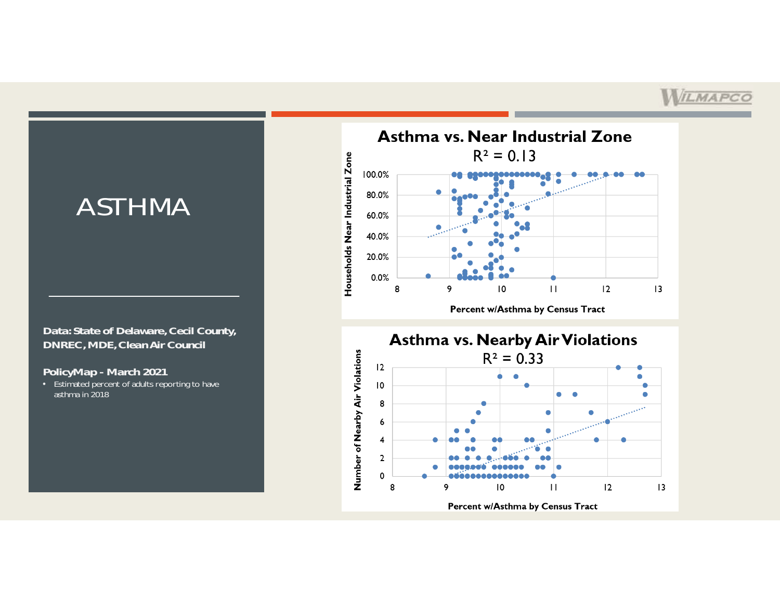## ASTHMA

*Data: State of Delaware, Cecil County, DNREC, MDE, Clean Air Council*

*PolicyMap - March 2021*

• Estimated percent of adults reporting to have asthma in 2018



Percent w/Asthma by Census Tract

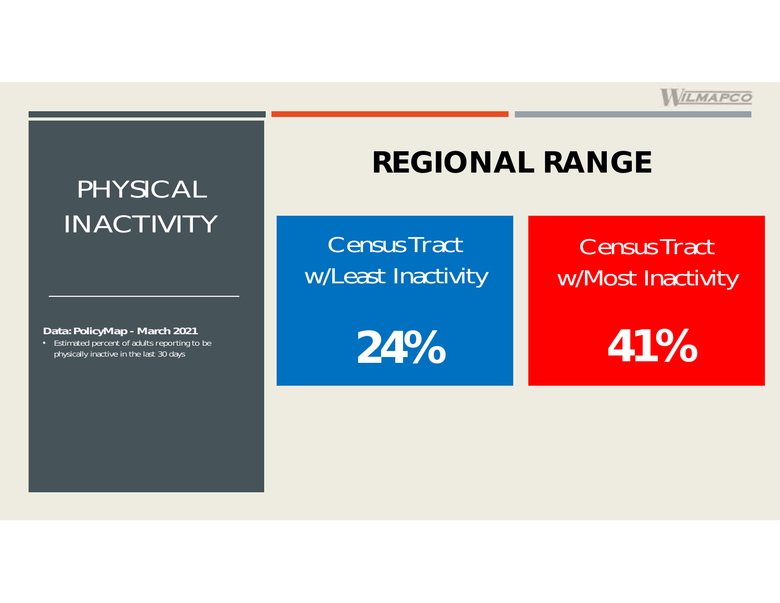

## PHYSICAL INACTIVITY

*Data: PolicyMap - March 2021*

• Estimated percent of adults reporting to be physically inactive in the last 30 days

# **REGIONAL RANGE**

Census Tract w/Least Inactivity

**24%**

## Census Tract w/Most Inactivity

**41%**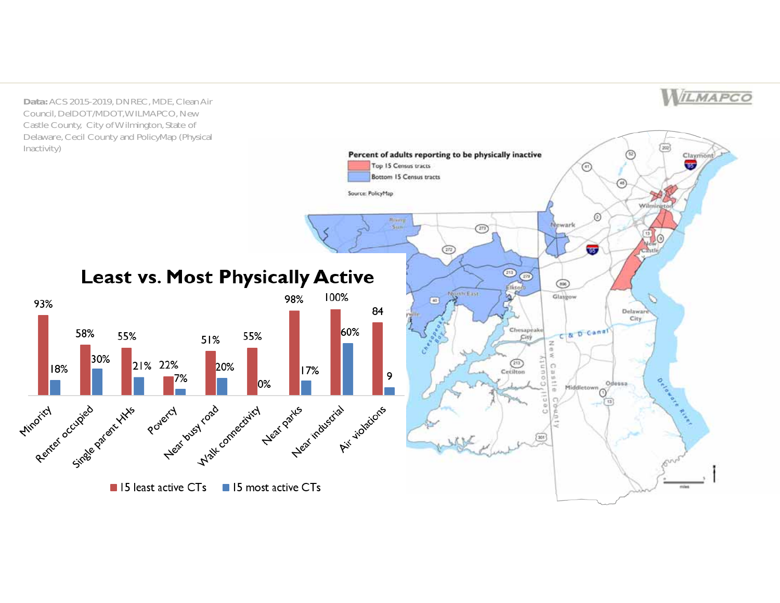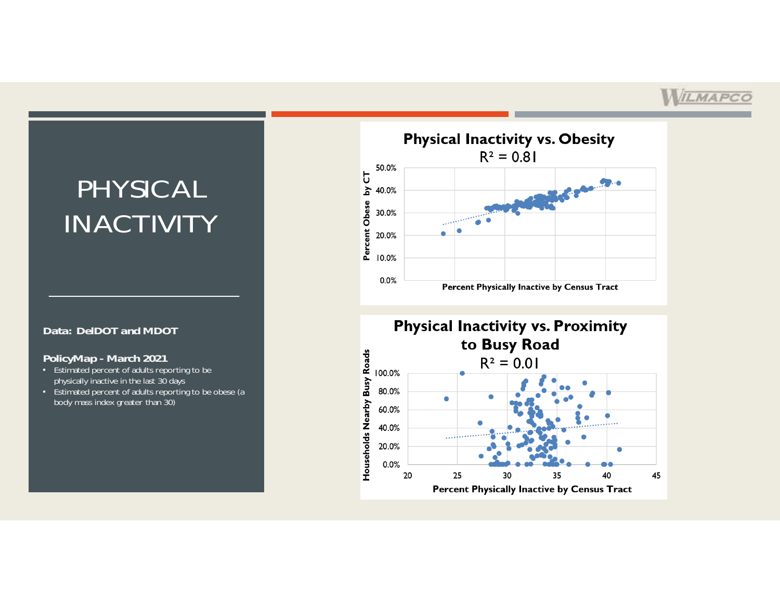## PHYSICAL INACTIVITY

#### *Data: DelDOT and MDOT*

#### *PolicyMap - March 2021*

- Estimated percent of adults reporting to be physically inactive in the last 30 days
- Estimated percent of adults reporting to be obese (a body mass index greater than 30)



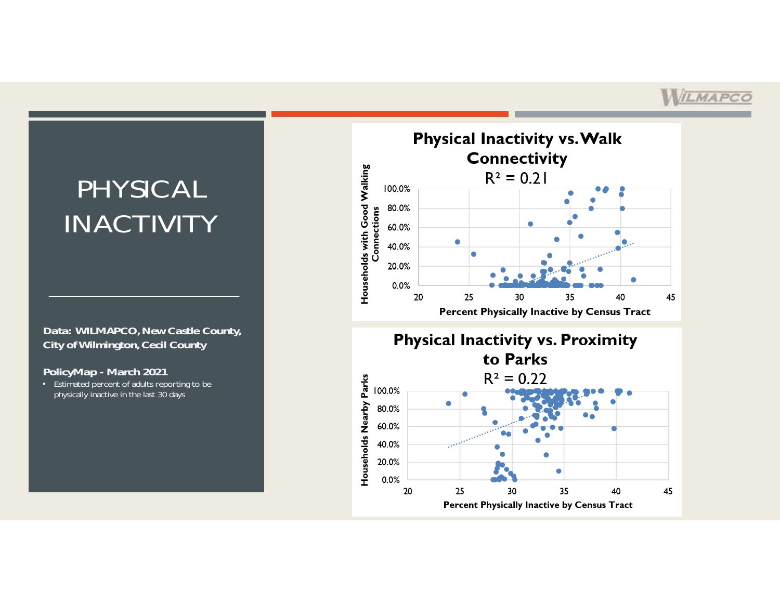## PHYSICAL INACTIVITY

#### *Data: WILMAPCO, New Castle County, City of Wilmington, Cecil County*

#### *PolicyMap - March 2021*

• Estimated percent of adults reporting to be physically inactive in the last 30 days

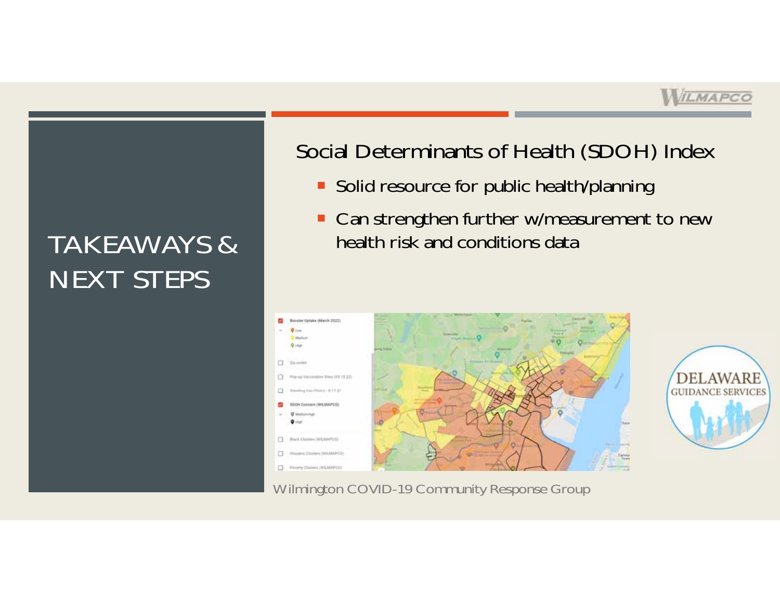# TAKEAWAYS &NEXT STEPS

## Social Determinants of Health (SDOH) Index

- **Solid resource for public health/planning**
- **Can strengthen further w/measurement to new** health risk and conditions data



Wilmington COVID-19 Community Response Group